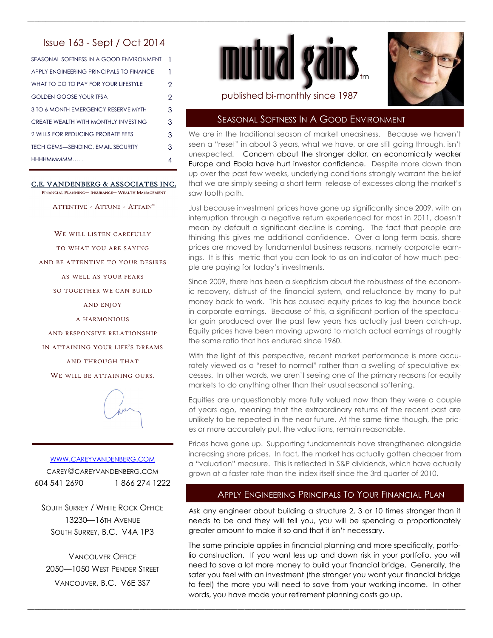# Issue 163 - Sept / Oct 2014

| SEASONAL SOFTNESS IN A GOOD ENVIRONMENT  | 1              |
|------------------------------------------|----------------|
| APPLY ENGINEERING PRINCIPALS TO FINANCE  | 1              |
| WHAT TO DO TO PAY FOR YOUR LIFESTYLE     | $\overline{2}$ |
| <b>GOLDEN GOOSE YOUR TFSA</b>            | $\overline{2}$ |
| 3 TO 6 MONTH EMERGENCY RESERVE MYTH      | 3              |
| CREATE WEALTH WITH MONTHLY INVESTING     | 3              |
| 2 WILLS FOR REDUCING PROBATE FEES        | 3              |
| <b>TECH GEMS-SENDINC, EMAIL SECURITY</b> | 3              |
| HHHHMMMMM                                | 4              |
|                                          |                |

#### C.E. VANDENBERG & ASSOCIATES INC. FINANCIAL PLANNING- INSURANCE- WEALTH MANAGEMENT

ATTENTIVE - ATTUNE - ATTAIN™

WE WILL LISTEN CAREFULLY

TO WHAT YOU ARE SAYING

AND BE ATTENTIVE TO YOUR DESIRES

AS WELL AS YOUR FEARS

SO TOGETHER WE CAN BUILD

AND ENJOY

A HARMONIOUS

AND RESPONSIVE RELATIONSHIP

IN ATTAINING YOUR LIFE'S DREAMS

AND THROUGH THAT

WE WILL BE ATTAINING OURS.



# WWW.[CAREYVANDENBERG](http://careyvandenberg.com).COM CAREY@CAREYVANDENBERG.COM 604 541 2690 1 866 274 1222

SOUTH SURREY / WHITE ROCK OFFICE 13230—16TH AVENUE SOUTH SURREY, B.C. V4A 1P3

VANCOUVER OFFICE 2050—1050 WEST PENDER STREET VANCOUVER, B.C. V6E 3S7



\_\_\_\_\_\_\_\_\_\_\_\_\_\_\_\_\_\_\_\_\_\_\_\_\_\_\_\_\_\_\_\_\_\_\_\_\_\_\_\_\_\_\_\_\_\_\_\_\_\_\_\_\_\_\_\_\_\_\_\_\_\_\_\_\_\_\_\_\_\_\_\_\_\_\_\_\_\_\_\_\_\_\_\_\_\_\_\_\_\_\_\_\_\_\_\_\_\_\_\_\_\_\_\_\_\_\_\_\_\_\_\_\_\_\_\_\_\_\_\_\_



### published bi-monthly since 1987

# SEASONAL SOFTNESS IN A GOOD ENVIRONMENT

We are in the traditional season of market uneasiness. Because we haven't seen a "reset" in about 3 years, what we have, or are still going through, isn't unexpected. Concern about the stronger dollar, an economically weaker Europe and Ebola have hurt investor confidence. Despite more down than up over the past few weeks, underlying conditions strongly warrant the belief that we are simply seeing a short term release of excesses along the market's saw tooth path.

Just because investment prices have gone up significantly since 2009, with an interruption through a negative return experienced for most in 2011, doesn't mean by default a significant decline is coming. The fact that people are thinking this gives me additional confidence. Over a long term basis, share prices are moved by fundamental business reasons, namely corporate earnings. It is this metric that you can look to as an indicator of how much people are paying for today's investments.

Since 2009, there has been a skepticism about the robustness of the economic recovery, distrust of the financial system, and reluctance by many to put money back to work. This has caused equity prices to lag the bounce back in corporate earnings. Because of this, a significant portion of the spectacular gain produced over the past few years has actually just been catch-up. Equity prices have been moving upward to match actual earnings at roughly the same ratio that has endured since 1960.

With the light of this perspective, recent market performance is more accurately viewed as a "reset to normal" rather than a swelling of speculative excesses. In other words, we aren't seeing one of the primary reasons for equity markets to do anything other than their usual seasonal softening.

Equities are unquestionably more fully valued now than they were a couple of years ago, meaning that the extraordinary returns of the recent past are unlikely to be repeated in the near future. At the same time though, the prices or more accurately put, the valuations, remain reasonable.

Prices have gone up. Supporting fundamentals have strengthened alongside increasing share prices. In fact, the market has actually gotten cheaper from a "valuation" measure. This is reflected in S&P dividends, which have actually grown at a faster rate than the index itself since the 3rd quarter of 2010.

# APPLY ENGINEERING PRINCIPALS TO YOUR FINANCIAL PLAN

Ask any engineer about building a structure 2, 3 or 10 times stronger than it needs to be and they will tell you, you will be spending a proportionately greater amount to make it so and that it isn't necessary.

The same principle applies in financial planning and more specifically, portfolio construction. If you want less up and down risk in your portfolio, you will need to save a lot more money to build your financial bridge. Generally, the safer you feel with an investment (the stronger you want your financial bridge to feel) the more you will need to save from your working income. In other words, you have made your retirement planning costs go up.

\_\_\_\_\_\_\_\_\_\_\_\_\_\_\_\_\_\_\_\_\_\_\_\_\_\_\_\_\_\_\_\_\_\_\_\_\_\_\_\_\_\_\_\_\_\_\_\_\_\_\_\_\_\_\_\_\_\_\_\_\_\_\_\_\_\_\_\_\_\_\_\_\_\_\_\_\_\_\_\_\_\_\_\_\_\_\_\_\_\_\_\_\_\_\_\_\_\_\_\_\_\_\_\_\_\_\_\_\_\_\_\_\_\_\_\_\_\_\_\_\_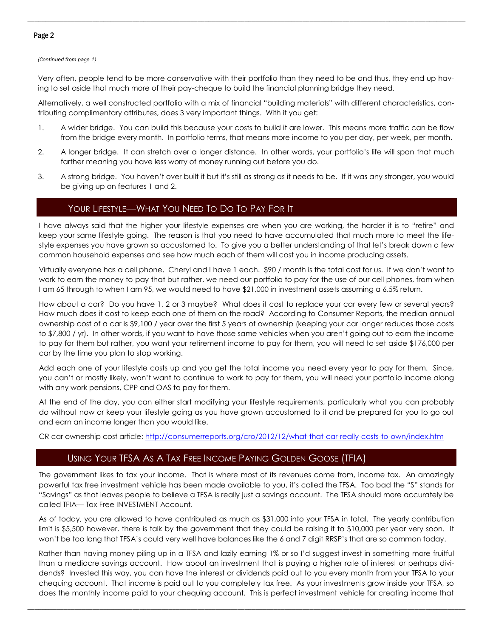### Page 2

#### *(Continued from page 1)*

Very often, people tend to be more conservative with their portfolio than they need to be and thus, they end up having to set aside that much more of their pay-cheque to build the financial planning bridge they need.

\_\_\_\_\_\_\_\_\_\_\_\_\_\_\_\_\_\_\_\_\_\_\_\_\_\_\_\_\_\_\_\_\_\_\_\_\_\_\_\_\_\_\_\_\_\_\_\_\_\_\_\_\_\_\_\_\_\_\_\_\_\_\_\_\_\_\_\_\_\_\_\_\_\_\_\_\_\_\_\_\_\_\_\_\_\_\_\_\_\_\_\_\_\_\_\_\_\_\_\_\_\_\_\_\_\_\_\_\_\_\_\_\_\_\_\_\_\_\_\_\_

Alternatively, a well constructed portfolio with a mix of financial "building materials" with different characteristics, contributing complimentary attributes, does 3 very important things. With it you get:

- 1. A wider bridge. You can build this because your costs to build it are lower. This means more traffic can be flow from the bridge every month. In portfolio terms, that means more income to you per day, per week, per month.
- 2. A longer bridge. It can stretch over a longer distance. In other words, your portfolio's life will span that much farther meaning you have less worry of money running out before you do.
- 3. A strong bridge. You haven't over built it but it's still as strong as it needs to be. If it was any stronger, you would be giving up on features 1 and 2.

# YOUR LIFESTYLE—WHAT YOU NEED TO DO TO PAY FOR IT

I have always said that the higher your lifestyle expenses are when you are working, the harder it is to "retire" and keep your same lifestyle going. The reason is that you need to have accumulated that much more to meet the lifestyle expenses you have grown so accustomed to. To give you a better understanding of that let's break down a few common household expenses and see how much each of them will cost you in income producing assets.

Virtually everyone has a cell phone. Cheryl and I have 1 each. \$90 / month is the total cost for us. If we don't want to work to earn the money to pay that but rather, we need our portfolio to pay for the use of our cell phones, from when I am 65 through to when I am 95, we would need to have \$21,000 in investment assets assuming a 6.5% return.

How about a car? Do you have 1, 2 or 3 maybe? What does it cost to replace your car every few or several years? How much does it cost to keep each one of them on the road? According to Consumer Reports, the median annual ownership cost of a car is \$9,100 / year over the first 5 years of ownership (keeping your car longer reduces those costs to \$7,800 / yr). In other words, if you want to have those same vehicles when you aren't going out to earn the income to pay for them but rather, you want your retirement income to pay for them, you will need to set aside \$176,000 per car by the time you plan to stop working.

Add each one of your lifestyle costs up and you get the total income you need every year to pay for them. Since, you can't or mostly likely, won't want to continue to work to pay for them, you will need your portfolio income along with any work pensions, CPP and OAS to pay for them.

At the end of the day, you can either start modifying your lifestyle requirements, particularly what you can probably do without now or keep your lifestyle going as you have grown accustomed to it and be prepared for you to go out and earn an income longer than you would like.

CR car ownership cost article: [http://consumerreports.org/cro/2012/12/what-that-car-really-costs-to-own/index.htm](http://consumerreports.org/cro/2012/12/what-that-car-really-costs-to-own/index.htmC:/Users/CEVInc/Documents/BlackBerry)

# USING YOUR TFSA AS A TAX FREE INCOME PAYING GOLDEN GOOSE (TFIA)

The government likes to tax your income. That is where most of its revenues come from, income tax. An amazingly powerful tax free investment vehicle has been made available to you, it's called the TFSA. Too bad the "S" stands for "Savings" as that leaves people to believe a TFSA is really just a savings account. The TFSA should more accurately be called TFIA— Tax Free INVESTMENT Account.

As of today, you are allowed to have contributed as much as \$31,000 into your TFSA in total. The yearly contribution limit is \$5,500 however, there is talk by the government that they could be raising it to \$10,000 per year very soon. It won't be too long that TFSA's could very well have balances like the 6 and 7 digit RRSP's that are so common today.

Rather than having money piling up in a TFSA and lazily earning 1% or so I'd suggest invest in something more fruitful than a mediocre savings account. How about an investment that is paying a higher rate of interest or perhaps dividends? Invested this way, you can have the interest or dividends paid out to you every month from your TFSA to your chequing account. That income is paid out to you completely tax free. As your investments grow inside your TFSA, so does the monthly income paid to your chequing account. This is perfect investment vehicle for creating income that

\_\_\_\_\_\_\_\_\_\_\_\_\_\_\_\_\_\_\_\_\_\_\_\_\_\_\_\_\_\_\_\_\_\_\_\_\_\_\_\_\_\_\_\_\_\_\_\_\_\_\_\_\_\_\_\_\_\_\_\_\_\_\_\_\_\_\_\_\_\_\_\_\_\_\_\_\_\_\_\_\_\_\_\_\_\_\_\_\_\_\_\_\_\_\_\_\_\_\_\_\_\_\_\_\_\_\_\_\_\_\_\_\_\_\_\_\_\_\_\_\_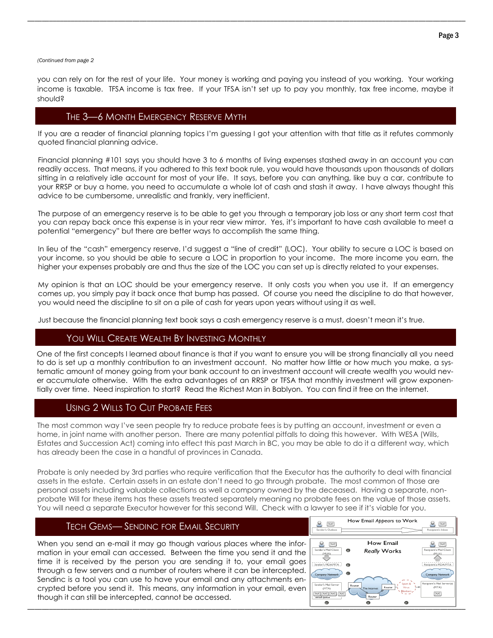*(Continued from page 2*

you can rely on for the rest of your life. Your money is working and paying you instead of you working. Your working income is taxable. TFSA income is tax free. If your TFSA isn't set up to pay you monthly, tax free income, maybe it should?

\_\_\_\_\_\_\_\_\_\_\_\_\_\_\_\_\_\_\_\_\_\_\_\_\_\_\_\_\_\_\_\_\_\_\_\_\_\_\_\_\_\_\_\_\_\_\_\_\_\_\_\_\_\_\_\_\_\_\_\_\_\_\_\_\_\_\_\_\_\_\_\_\_\_\_\_\_\_\_\_\_\_\_\_\_\_\_\_\_\_\_\_\_\_\_\_\_\_\_\_\_\_\_\_\_\_\_\_\_\_\_\_\_\_\_\_\_\_\_\_\_

### THE 3-6 MONTH EMERGENCY RESERVE MYTH

If you are a reader of financial planning topics I'm guessing I got your attention with that title as it refutes commonly quoted financial planning advice.

Financial planning #101 says you should have 3 to 6 months of living expenses stashed away in an account you can readily access. That means, if you adhered to this text book rule, you would have thousands upon thousands of dollars sitting in a relatively idle account for most of your life. It says, before you can anything, like buy a car, contribute to your RRSP or buy a home, you need to accumulate a whole lot of cash and stash it away. I have always thought this advice to be cumbersome, unrealistic and frankly, very inefficient.

The purpose of an emergency reserve is to be able to get you through a temporary job loss or any short term cost that you can repay back once this expense is in your rear view mirror. Yes, it's important to have cash available to meet a potential "emergency" but there are better ways to accomplish the same thing.

In lieu of the "cash" emergency reserve, I'd suggest a "line of credit" (LOC). Your ability to secure a LOC is based on your income, so you should be able to secure a LOC in proportion to your income. The more income you earn, the higher your expenses probably are and thus the size of the LOC you can set up is directly related to your expenses.

My opinion is that an LOC should be your emergency reserve. It only costs you when you use it. If an emergency comes up, you simply pay it back once that bump has passed. Of course you need the discipline to do that however, you would need the discipline to sit on a pile of cash for years upon years without using it as well.

Just because the financial planning text book says a cash emergency reserve is a must, doesn't mean it's true.

### YOU WILL CREATE WEALTH BY INVESTING MONTHLY

One of the first concepts I learned about finance is that if you want to ensure you will be strong financially all you need to do is set up a monthly contribution to an investment account. No matter how little or how much you make, a systematic amount of money going from your bank account to an investment account will create wealth you would never accumulate otherwise. With the extra advantages of an RRSP or TFSA that monthly investment will grow exponentially over time. Need inspiration to start? Read the Richest Man in Bablyon. You can find it free on the internet.

### USING 2 WILLS TO CUT PROBATE FEES

The most common way I've seen people try to reduce probate fees is by putting an account, investment or even a home, in joint name with another person. There are many potential pitfalls to doing this however. With WESA (Wills, Estates and Succession Act) coming into effect this past March in BC, you may be able to do it a different way, which has already been the case in a handful of provinces in Canada.

Probate is only needed by 3rd parties who require verification that the Executor has the authority to deal with financial assets in the estate. Certain assets in an estate don't need to go through probate. The most common of those are personal assets including valuable collections as well a company owned by the deceased. Having a separate, nonprobate Will for these items has these assets treated separately meaning no probate fees on the value of those assets. You will need a separate Executor however for this second Will. Check with a lawyer to see if it's viable for you.

| <b>TECH GEMS-SENDINC FOR EMAIL SECURITY</b>                                                                                                                                                                                                                                                                                                                                                                                                                                                                                         | How Email Appears to Work<br>$\bowtie$<br>Sender's Outbox<br>Recipient's Inbox                                                                                                                                                                                                                                |
|-------------------------------------------------------------------------------------------------------------------------------------------------------------------------------------------------------------------------------------------------------------------------------------------------------------------------------------------------------------------------------------------------------------------------------------------------------------------------------------------------------------------------------------|---------------------------------------------------------------------------------------------------------------------------------------------------------------------------------------------------------------------------------------------------------------------------------------------------------------|
| When you send an e-mail it may go though various places where the infor-<br>mation in your email can accessed. Between the time you send it and the<br>time it is received by the person you are sending it to, your email goes<br>through a few servers and a number of routers where it can be intercepted.<br>Sendinc is a tool you can use to have your email and any attachments en-<br>crypted before you send it. This means, any information in your email, even<br>though it can still be intercepted, cannot be accessed. | How Email<br>$\mathbb{X}$<br>Sender's Mail Client<br><b>Really Works</b><br>Recipient's Mail Clien<br>(MUA)<br>Sender's MDAMTA<br>Company Network<br><b>Company Networ</b><br>Recipient's Mail Server<br>Sender's Mail Server<br>Router<br>(MTA)<br>The Internet<br><u> x x x x</u><br>$\mathbb{X}$<br>Router |